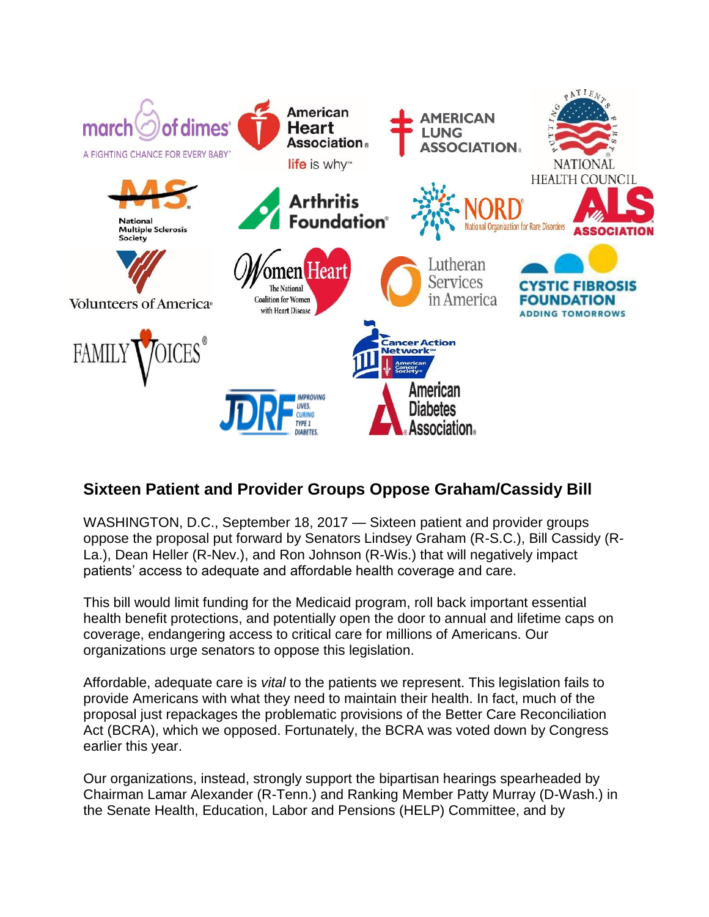

## **Sixteen Patient and Provider Groups Oppose Graham/Cassidy Bill**

WASHINGTON, D.C., September 18, 2017 — Sixteen patient and provider groups oppose the proposal put forward by Senators Lindsey Graham (R-S.C.), Bill Cassidy (R-La.), Dean Heller (R-Nev.), and Ron Johnson (R-Wis.) that will negatively impact patients' access to adequate and affordable health coverage and care.

This bill would limit funding for the Medicaid program, roll back important essential health benefit protections, and potentially open the door to annual and lifetime caps on coverage, endangering access to critical care for millions of Americans. Our organizations urge senators to oppose this legislation.

Affordable, adequate care is *vital* to the patients we represent. This legislation fails to provide Americans with what they need to maintain their health. In fact, much of the proposal just repackages the problematic provisions of the Better Care Reconciliation Act (BCRA), which we opposed. Fortunately, the BCRA was voted down by Congress earlier this year.

Our organizations, instead, strongly support the bipartisan hearings spearheaded by Chairman Lamar Alexander (R-Tenn.) and Ranking Member Patty Murray (D-Wash.) in the Senate Health, Education, Labor and Pensions (HELP) Committee, and by